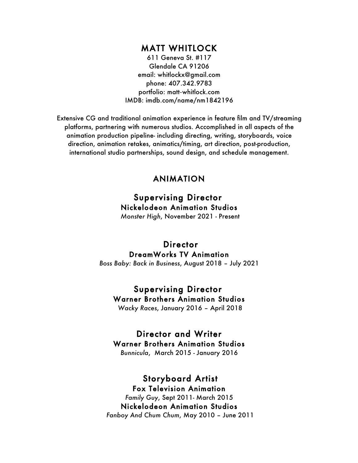### MATT WHITLOCK

611 Geneva St. #117 Glendale CA 91206 email: whitlockx@gmail.com phone: 407.342.9783 portfolio: matt**-**whitlock.com IMDB: imdb.com/name/nm1842196

Extensive CG and traditional animation experience in feature film and TV/streaming platforms, partnering with numerous studios. Accomplished in all aspects of the animation production pipeline- including directing, writing, storyboards, voice direction, animation retakes, animatics/timing, art direction, post-production, international studio partnerships, sound design, and schedule management.

### ANIMATION

# Supervising Director Nickelodeon Animation Studios

*Monster High*, November 2021 - Present

### **Director** DreamWorks TV Animation

*Boss Baby: Back in Business*, August 2018 – July 2021

#### Supervising Director Warner Brothers Animation Studios

*Wacky Races*, January 2016 – April 2018

# Director and Writer

Warner Brothers Animation Studios

*Bunnicula*, March 2015 - January 2016

# Storyboard Artist

Fox Television Animation *Family Guy*, Sept 2011- March 2015 Nickelodeon Animation Studios *Fanboy And Chum Chum*, May 2010 – June 2011